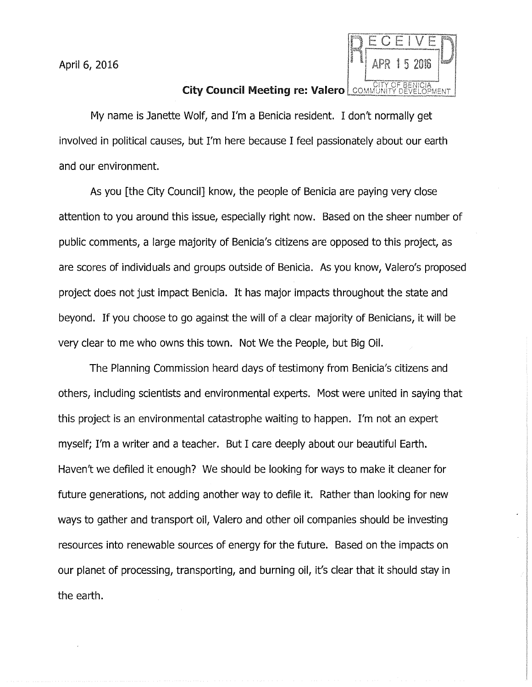April 6, 2016



## **City Council Meeting re: Valero** COMMUNITY DEVELOPMENT

My name is Janette Wolf, and I'm a Benicia resident. I don't normally get involved in political causes, but I'm here because I feel passionately about our earth and our environment.

As you [the City Council] know, the people of Benicia are paying very close attention to you around this issue, especially right now. Based on the sheer number of public comments, a large majority of Benicia's citizens are opposed to this project, as are scores of individuals and groups outside of Benicia. As you know, Valero's proposed project does not just impact Benicia. It has major impacts throughout the state and beyond. If you choose to go against the will of a clear majority of Benicians, it will be very clear to me who owns this town. Not We the People, but Big Oil.

The Planning Commission heard days of testimony from Benicia's citizens and others, including scientists and environmental experts. Most were united in saying that this project is an environmental catastrophe waiting to happen. I'm not an expert myself; I'm a writer and a teacher. But I care deeply about our beautiful Earth. Haven't we defiled it enough? We should be looking for ways to make it cleaner for future generations, not adding another way to defile it. Rather than looking for new ways to gather and transport oil, Valero and other oil companies should be investing resources into renewable sources of energy for the future. Based on the impacts on our planet of processing, transporting, and burning oil, it's clear that it should stay in the earth.